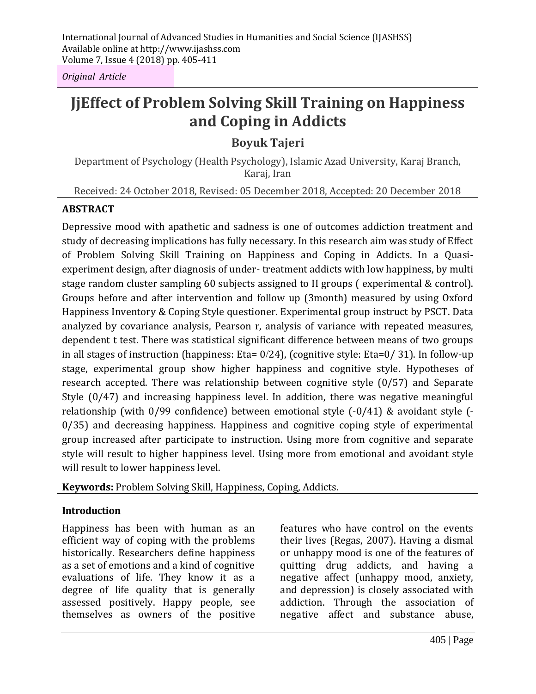*Original Article*

# **JjEffect of Problem Solving Skill Training on Happiness and Coping in Addicts**

**Boyuk Tajeri**

Department of Psychology (Health Psychology), Islamic Azad University, Karaj Branch, Karaj, Iran

Received: 24 October 2018, Revised: 05 December 2018, Accepted: 20 December 2018

#### **ABSTRACT**

Depressive mood with apathetic and sadness is one of outcomes addiction treatment and study of decreasing implications has fully necessary. In this research aim was study of Effect of Problem Solving Skill Training on Happiness and Coping in Addicts. In a Quasiexperiment design, after diagnosis of under- treatment addicts with low happiness, by multi stage random cluster sampling 60 subjects assigned to II groups ( experimental & control). Groups before and after intervention and follow up (3month) measured by using Oxford Happiness Inventory & Coping Style questioner. Experimental group instruct by PSCT. Data analyzed by covariance analysis, Pearson r, analysis of variance with repeated measures, dependent t test. There was statistical significant difference between means of two groups in all stages of instruction (happiness: Eta= 0/24), (cognitive style: Eta=0/ 31). In follow-up stage, experimental group show higher happiness and cognitive style. Hypotheses of research accepted. There was relationship between cognitive style (0/57) and Separate Style (0/47) and increasing happiness level. In addition, there was negative meaningful relationship (with 0/99 confidence) between emotional style (-0/41) & avoidant style (- 0/35) and decreasing happiness. Happiness and cognitive coping style of experimental group increased after participate to instruction. Using more from cognitive and separate style will result to higher happiness level. Using more from emotional and avoidant style will result to lower happiness level.

**Keywords:** Problem Solving Skill, Happiness, Coping, Addicts.

#### **Introduction**

Happiness has been with human as an efficient way of coping with the problems historically. Researchers define happiness as a set of emotions and a kind of cognitive evaluations of life. They know it as a degree of life quality that is generally assessed positively. Happy people, see themselves as owners of the positive features who have control on the events their lives (Regas, 2007). Having a dismal or unhappy mood is one of the features of quitting drug addicts, and having a negative affect (unhappy mood, anxiety, and depression) is closely associated with addiction. Through the association of negative affect and substance abuse,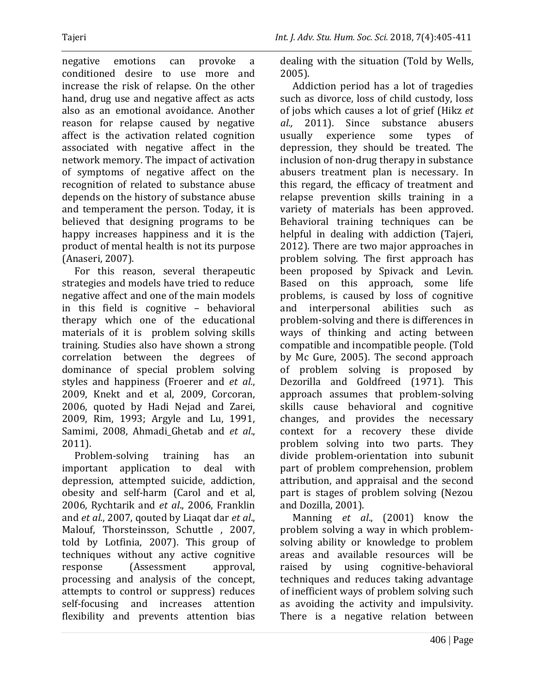negative emotions can provoke a conditioned desire to use more and increase the risk of relapse. On the other hand, drug use and negative affect as acts also as an emotional avoidance. Another reason for relapse caused by negative affect is the activation related cognition associated with negative affect in the network memory. The impact of activation of symptoms of negative affect on the recognition of related to substance abuse depends on the history of substance abuse and temperament the person. Today, it is believed that designing programs to be happy increases happiness and it is the product of mental health is not its purpose (Anaseri, 2007).

For this reason, several therapeutic strategies and models have tried to reduce negative affect and one of the main models in this field is cognitive – behavioral therapy which one of the educational materials of it is problem solving skills training. Studies also have shown a strong correlation between the degrees of dominance of special problem solving styles and happiness (Froerer and *et al.*, 2009, Knekt and et al, 2009, Corcoran, 2006, quoted by Hadi Nejad and Zarei, 2009, Rim, 1993; Argyle and Lu, 1991, Samimi, 2008, Ahmadi\_Ghetab and *et al*., 2011).

Problem-solving training has an important application to deal with depression, attempted suicide, addiction, obesity and self-harm (Carol and et al, 2006, Rychtarik and *et al*., 2006, Franklin and *et al*., 2007, qouted by Liaqat dar *et al*., Malouf, Thorsteinsson, Schuttle , 2007, told by Lotfinia, 2007). This group of techniques without any active cognitive response (Assessment approval, processing and analysis of the concept, attempts to control or suppress) reduces self-focusing and increases attention flexibility and prevents attention bias

dealing with the situation (Told by Wells, 2005).

Addiction period has a lot of tragedies such as divorce, loss of child custody, loss of jobs which causes a lot of grief (Hikz *et al.,* 2011). Since substance abusers usually experience some types of depression, they should be treated. The inclusion of non-drug therapy in substance abusers treatment plan is necessary. In this regard, the efficacy of treatment and relapse prevention skills training in a variety of materials has been approved. Behavioral training techniques can be helpful in dealing with addiction (Tajeri, 2012). There are two major approaches in problem solving. The first approach has been proposed by Spivack and Levin. Based on this approach, some life problems, is caused by loss of cognitive and interpersonal abilities such as problem-solving and there is differences in ways of thinking and acting between compatible and incompatible people. (Told by Mc Gure, 2005). The second approach of problem solving is proposed by Dezorilla and Goldfreed (1971). This approach assumes that problem-solving skills cause behavioral and cognitive changes, and provides the necessary context for a recovery these divide problem solving into two parts. They divide problem-orientation into subunit part of problem comprehension, problem attribution, and appraisal and the second part is stages of problem solving (Nezou and Dozilla, 2001).

Manning *et al*., (2001) know the problem solving a way in which problemsolving ability or knowledge to problem areas and available resources will be raised by using cognitive-behavioral techniques and reduces taking advantage of inefficient ways of problem solving such as avoiding the activity and impulsivity. There is a negative relation between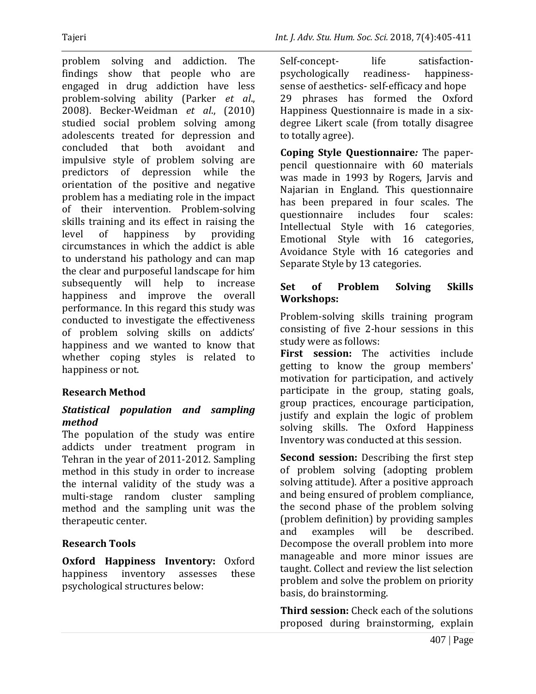problem solving and addiction. The findings show that people who are engaged in drug addiction have less problem-solving ability (Parker *et al*., 2008). Becker-Weidman *et al*., (2010) studied social problem solving among adolescents treated for depression and concluded that both avoidant and impulsive style of problem solving are predictors of depression while the orientation of the positive and negative problem has a mediating role in the impact of their intervention. Problem-solving skills training and its effect in raising the

level of happiness by providing circumstances in which the addict is able to understand his pathology and can map the clear and purposeful landscape for him subsequently will help to increase happiness and improve the overall performance. In this regard this study was conducted to investigate the effectiveness of problem solving skills on addicts' happiness and we wanted to know that whether coping styles is related to happiness or not.

## **Research Method**

#### *Statistical population and sampling method*

The population of the study was entire addicts under treatment program in Tehran in the year of 2011-2012. Sampling method in this study in order to increase the internal validity of the study was a multi-stage random cluster sampling method and the sampling unit was the therapeutic center.

# **Research Tools**

**Oxford Happiness Inventory:** Oxford happiness inventory assesses these psychological structures below:

Self-concept- life satisfactionpsychologically readiness- happinesssense of aesthetics- self-efficacy and hope 29 phrases has formed the Oxford Happiness Questionnaire is made in a sixdegree Likert scale (from totally disagree to totally agree).

**Coping Style Questionnaire***:* The paperpencil questionnaire with 60 materials was made in 1993 by Rogers, Jarvis and Najarian in England. This questionnaire has been prepared in four scales. The questionnaire includes four scales: Intellectual Style with 16 categories, Emotional Style with 16 categories, Avoidance Style with 16 categories and Separate Style by 13 categories.

#### **Set of Problem Solving Skills Workshops:**

Problem-solving skills training program consisting of five 2-hour sessions in this study were as follows:

**First session:** The activities include getting to know the group members' motivation for participation, and actively participate in the group, stating goals, group practices, encourage participation, justify and explain the logic of problem solving skills. The Oxford Happiness Inventory was conducted at this session.

**Second session:** Describing the first step of problem solving (adopting problem solving attitude). After a positive approach and being ensured of problem compliance, the second phase of the problem solving (problem definition) by providing samples and examples will be described. Decompose the overall problem into more manageable and more minor issues are taught. Collect and review the list selection problem and solve the problem on priority basis, do brainstorming.

**Third session:** Check each of the solutions proposed during brainstorming, explain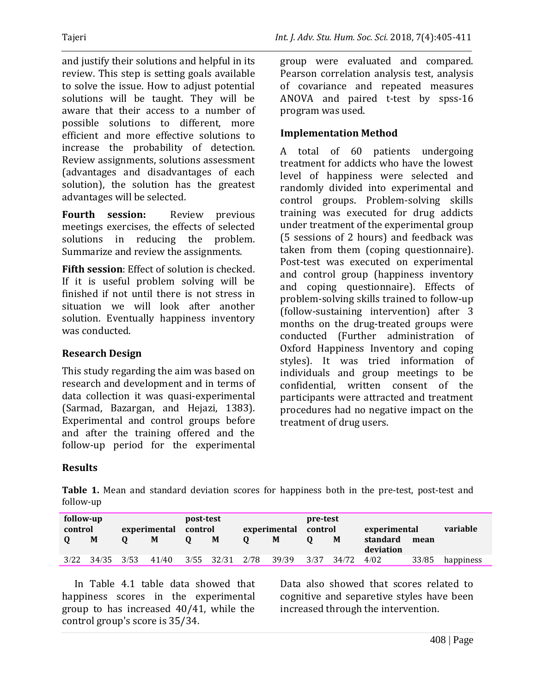and justify their solutions and helpful in its review. This step is setting goals available to solve the issue. How to adjust potential solutions will be taught. They will be aware that their access to a number of possible solutions to different, more efficient and more effective solutions to increase the probability of detection. Review assignments, solutions assessment (advantages and disadvantages of each solution), the solution has the greatest advantages will be selected.

**Fourth session:** Review previous meetings exercises, the effects of selected solutions in reducing the problem. Summarize and review the assignments.

**Fifth session**: Effect of solution is checked. If it is useful problem solving will be finished if not until there is not stress in situation we will look after another solution. Eventually happiness inventory was conducted.

#### **Research Design**

This study regarding the aim was based on research and development and in terms of data collection it was quasi-experimental (Sarmad, Bazargan, and Hejazi, 1383). Experimental and control groups before and after the training offered and the follow-up period for the experimental group were evaluated and compared. Pearson correlation analysis test, analysis of covariance and repeated measures ANOVA and paired t-test by spss-16 program was used.

#### **Implementation Method**

A total of 60 patients undergoing treatment for addicts who have the lowest level of happiness were selected and randomly divided into experimental and control groups. Problem-solving skills training was executed for drug addicts under treatment of the experimental group (5 sessions of 2 hours) and feedback was taken from them (coping questionnaire). Post-test was executed on experimental and control group (happiness inventory and coping questionnaire). Effects of problem-solving skills trained to follow-up (follow-sustaining intervention) after 3 months on the drug-treated groups were conducted (Further administration of Oxford Happiness Inventory and coping styles). It was tried information of individuals and group meetings to be confidential, written consent of the participants were attracted and treatment procedures had no negative impact on the treatment of drug users.

#### **Results**

**Table 1.** Mean and standard deviation scores for happiness both in the pre-test, post-test and follow-up

| follow-up<br>control | M     |      | experimental<br>M | post-test<br>control | M          | experimental<br>M | pre-test<br>control | M     | experimental<br>standard<br>deviation | mean  | variable  |
|----------------------|-------|------|-------------------|----------------------|------------|-------------------|---------------------|-------|---------------------------------------|-------|-----------|
| 3/22                 | 34/35 | 3/53 | 41/40             | 3/55                 | 32/31 2/78 | 39/39             | 3/37                | 34/72 | 4/02                                  | 33/85 | happiness |

In Table 4.1 table data showed that happiness scores in the experimental group to has increased 40/41, while the control group's score is 35/34.

Data also showed that scores related to cognitive and separetive styles have been increased through the intervention.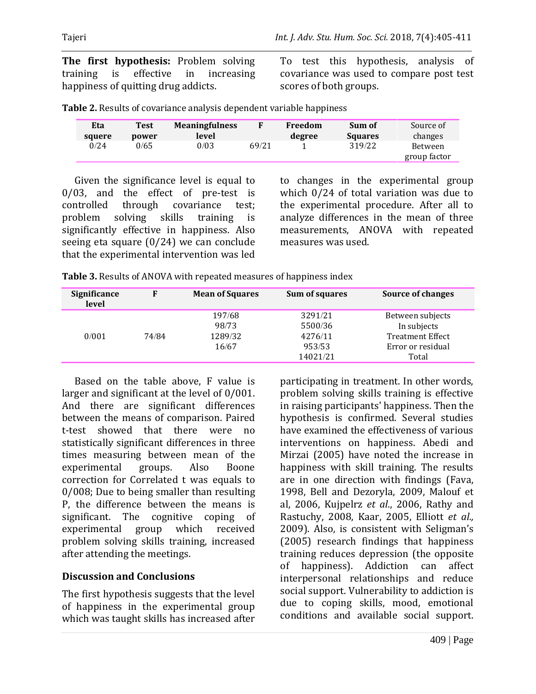**The first hypothesis:** Problem solving training is effective in increasing happiness of quitting drug addicts.

To test this hypothesis, analysis of covariance was used to compare post test scores of both groups.

| Eta    | <b>Test</b> | <b>Meaningfulness</b> |       | Freedom | Sum of         | Source of               |
|--------|-------------|-----------------------|-------|---------|----------------|-------------------------|
| squere | power       | level                 |       | degree  | <b>Squares</b> | changes                 |
| 0/24   | 0/65        | 0/03                  | 69/21 |         | 319/22         | Between<br>group factor |

Given the significance level is equal to 0/03, and the effect of pre-test is controlled through covariance test; problem solving skills training is significantly effective in happiness. Also seeing eta square (0/24) we can conclude that the experimental intervention was led to changes in the experimental group which 0/24 of total variation was due to the experimental procedure. After all to analyze differences in the mean of three measurements, ANOVA with repeated measures was used.

| Table 3. Results of ANOVA with repeated measures of happiness index |
|---------------------------------------------------------------------|
|---------------------------------------------------------------------|

| Significance<br>level |       | <b>Mean of Squares</b> | Sum of squares                | <b>Source of changes</b>                              |
|-----------------------|-------|------------------------|-------------------------------|-------------------------------------------------------|
|                       |       | 197/68<br>98/73        | 3291/21<br>5500/36            | Between subjects<br>In subjects                       |
| 0/001                 | 74/84 | 1289/32<br>16/67       | 4276/11<br>953/53<br>14021/21 | <b>Treatment Effect</b><br>Error or residual<br>Total |

Based on the table above, F value is larger and significant at the level of 0/001. And there are significant differences between the means of comparison. Paired t-test showed that there were no statistically significant differences in three times measuring between mean of the experimental groups. Also Boone correction for Correlated t was equals to 0/008; Due to being smaller than resulting P, the difference between the means is significant. The cognitive coping of experimental group which received problem solving skills training, increased after attending the meetings.

## **Discussion and Conclusions**

The first hypothesis suggests that the level of happiness in the experimental group which was taught skills has increased after

participating in treatment. In other words, problem solving skills training is effective in raising participants' happiness. Then the hypothesis is confirmed. Several studies have examined the effectiveness of various interventions on happiness. Abedi and Mirzai (2005) have noted the increase in happiness with skill training. The results are in one direction with findings (Fava, 1998, Bell and Dezoryla, 2009, Malouf et al, 2006, Kujpelrz *et al*., 2006, Rathy and Rastuchy, 2008, Kaar, 2005, Elliott *et al.,* 2009). Also, is consistent with Seligman's (2005) research findings that happiness training reduces depression (the opposite of happiness). Addiction can affect interpersonal relationships and reduce social support. Vulnerability to addiction is due to coping skills, mood, emotional conditions and available social support.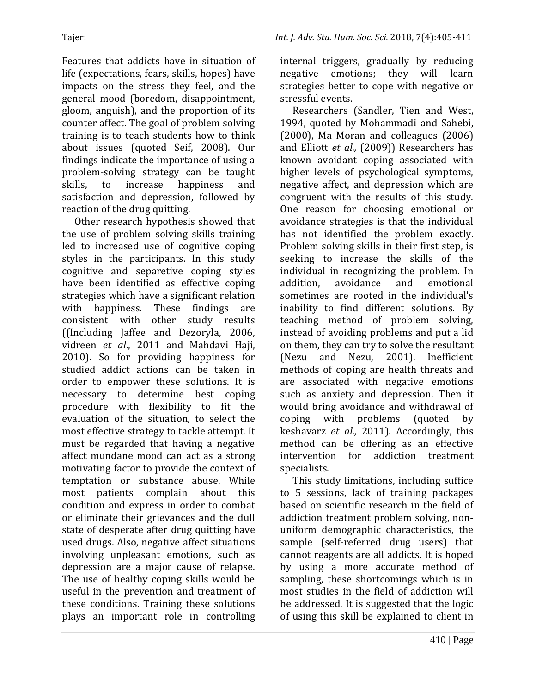Features that addicts have in situation of life (expectations, fears, skills, hopes) have impacts on the stress they feel, and the general mood (boredom, disappointment, gloom, anguish), and the proportion of its counter affect. The goal of problem solving training is to teach students how to think about issues (quoted Seif, 2008). Our findings indicate the importance of using a problem-solving strategy can be taught skills, to increase happiness and satisfaction and depression, followed by reaction of the drug quitting.

Other research hypothesis showed that the use of problem solving skills training led to increased use of cognitive coping styles in the participants. In this study cognitive and separetive coping styles have been identified as effective coping strategies which have a significant relation with happiness. These findings are consistent with other study results ((Including Jaffee and Dezoryla, 2006, vidreen *et al*., 2011 and Mahdavi Haji, 2010). So for providing happiness for studied addict actions can be taken in order to empower these solutions. It is necessary to determine best coping procedure with flexibility to fit the evaluation of the situation, to select the most effective strategy to tackle attempt. It must be regarded that having a negative affect mundane mood can act as a strong motivating factor to provide the context of temptation or substance abuse. While most patients complain about this condition and express in order to combat or eliminate their grievances and the dull state of desperate after drug quitting have used drugs. Also, negative affect situations involving unpleasant emotions, such as depression are a major cause of relapse. The use of healthy coping skills would be useful in the prevention and treatment of these conditions. Training these solutions plays an important role in controlling internal triggers, gradually by reducing negative emotions; they will learn strategies better to cope with negative or stressful events.

Researchers (Sandler, Tien and West, 1994, quoted by Mohammadi and Sahebi, (2000), Ma Moran and colleagues (2006) and Elliott *et al.,* (2009)) Researchers has known avoidant coping associated with higher levels of psychological symptoms, negative affect, and depression which are congruent with the results of this study. One reason for choosing emotional or avoidance strategies is that the individual has not identified the problem exactly. Problem solving skills in their first step, is seeking to increase the skills of the individual in recognizing the problem. In addition, avoidance and emotional sometimes are rooted in the individual's inability to find different solutions. By teaching method of problem solving, instead of avoiding problems and put a lid on them, they can try to solve the resultant (Nezu and Nezu, 2001). Inefficient methods of coping are health threats and are associated with negative emotions such as anxiety and depression. Then it would bring avoidance and withdrawal of coping with problems (quoted by keshavarz *et al.,* 2011). Accordingly, this method can be offering as an effective intervention for addiction treatment specialists.

This study limitations, including suffice to 5 sessions, lack of training packages based on scientific research in the field of addiction treatment problem solving, nonuniform demographic characteristics, the sample (self-referred drug users) that cannot reagents are all addicts. It is hoped by using a more accurate method of sampling, these shortcomings which is in most studies in the field of addiction will be addressed. It is suggested that the logic of using this skill be explained to client in